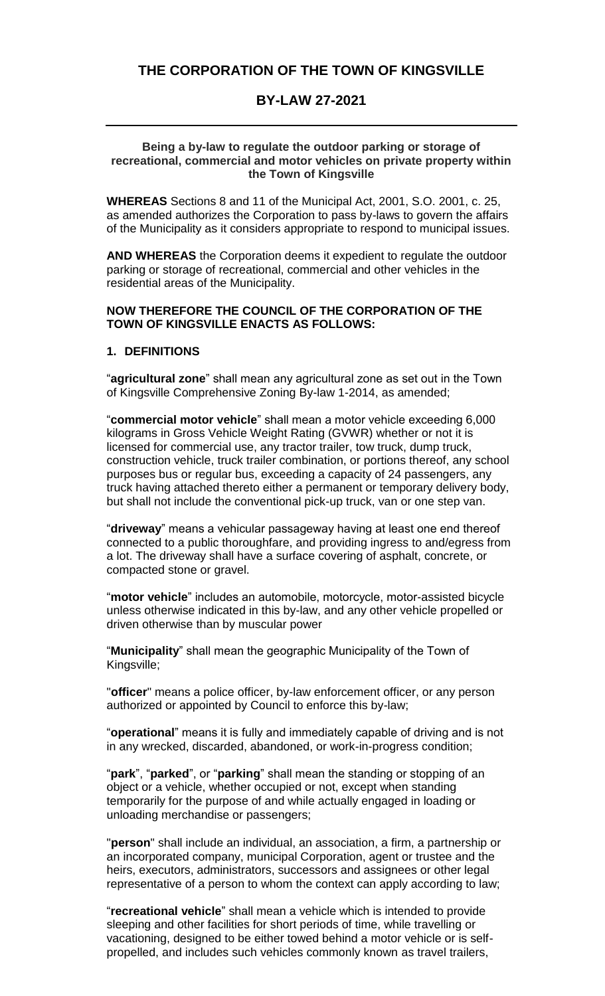# THE CORPORATION OF THE TOWN OF KINGSVILLE

# **BY-LAW 27-2021**

#### **Being a by-law to regulate the outdoor parking or storage of recreational, commercial and motor vehicles on private property within the Town of Kingsville**

**WHEREAS** Sections 8 and 11 of the Municipal Act, 2001, S.O. 2001, c. 25, as amended authorizes the Corporation to pass by-laws to govern the affairs of the Municipality as it considers appropriate to respond to municipal issues.

**AND WHEREAS** the Corporation deems it expedient to regulate the outdoor parking or storage of recreational, commercial and other vehicles in the residential areas of the Municipality.

#### **NOW THEREFORE THE COUNCIL OF THE CORPORATION OF THE TOWN OF KINGSVILLE ENACTS AS FOLLOWS:**

## **1. DEFINITIONS**

 "**agricultural zone**" shall mean any agricultural zone as set out in the Town of Kingsville Comprehensive Zoning By-law 1-2014, as amended;

 "**commercial motor vehicle**" shall mean a motor vehicle exceeding 6,000 purposes bus or regular bus, exceeding a capacity of 24 passengers, any **THE CORPORATION OF THE TOWN OF KINGSVILLE**<br> **BY-LAW 27-2021**<br> **Being a by-law to regulate the outdoor parking or storage of<br>
attional, commercial and motor vehicles on private property with<br>
rended authorizes the Corporat** kilograms in Gross Vehicle Weight Rating (GVWR) whether or not it is licensed for commercial use, any tractor trailer, tow truck, dump truck, construction vehicle, truck trailer combination, or portions thereof, any school truck having attached thereto either a permanent or temporary delivery body, but shall not include the conventional pick-up truck, van or one step van.

 "**driveway**" means a vehicular passageway having at least one end thereof a lot. The driveway shall have a surface covering of asphalt, concrete, or connected to a public thoroughfare, and providing ingress to and/egress from compacted stone or gravel.

"**motor vehicle**" includes an automobile, motorcycle, motor-assisted bicycle unless otherwise indicated in this by-law, and any other vehicle propelled or driven otherwise than by muscular power

 "**Municipality**" shall mean the geographic Municipality of the Town of Kingsville;

"**officer**" means a police officer, by-law enforcement officer, or any person authorized or appointed by Council to enforce this by-law;

"**operational**" means it is fully and immediately capable of driving and is not in any wrecked, discarded, abandoned, or work-in-progress condition;

 "**park**", "**parked**", or "**parking**" shall mean the standing or stopping of an temporarily for the purpose of and while actually engaged in loading or object or a vehicle, whether occupied or not, except when standing unloading merchandise or passengers;

 "**person**" shall include an individual, an association, a firm, a partnership or an incorporated company, municipal Corporation, agent or trustee and the heirs, executors, administrators, successors and assignees or other legal representative of a person to whom the context can apply according to law;

"**recreational vehicle**" shall mean a vehicle which is intended to provide sleeping and other facilities for short periods of time, while travelling or vacationing, designed to be either towed behind a motor vehicle or is selfpropelled, and includes such vehicles commonly known as travel trailers,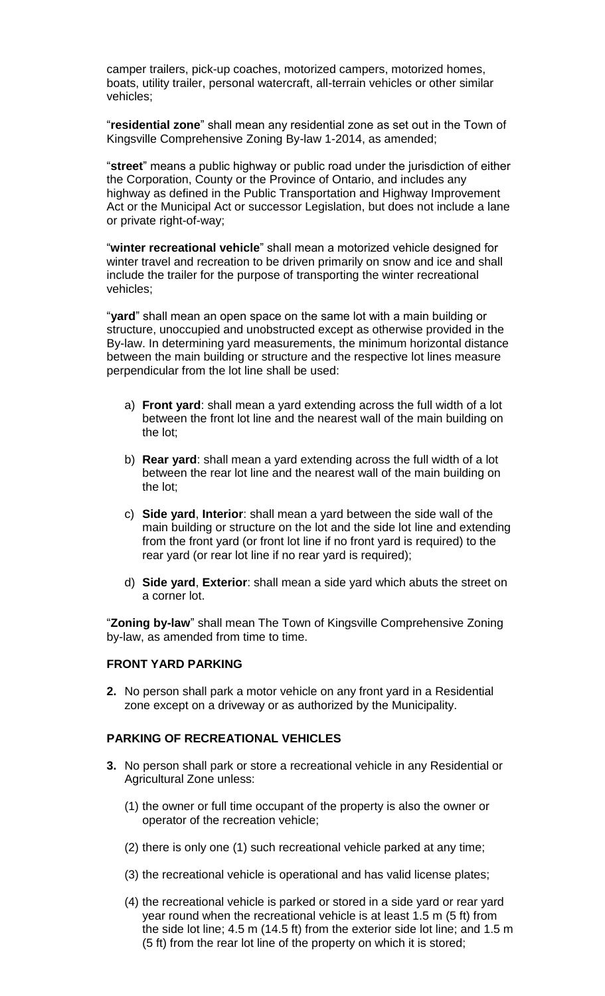camper trailers, pick-up coaches, motorized campers, motorized homes, boats, utility trailer, personal watercraft, all-terrain vehicles or other similar vehicles;

"**residential zone**" shall mean any residential zone as set out in the Town of Kingsville Comprehensive Zoning By-law 1-2014, as amended;

"**street**" means a public highway or public road under the jurisdiction of either the Corporation, County or the Province of Ontario, and includes any highway as defined in the Public Transportation and Highway Improvement Act or the Municipal Act or successor Legislation, but does not include a lane or private right-of-way;

 winter travel and recreation to be driven primarily on snow and ice and shall include the trailer for the purpose of transporting the winter recreational "**winter recreational vehicle**" shall mean a motorized vehicle designed for vehicles;

 structure, unoccupied and unobstructed except as otherwise provided in the "**yard**" shall mean an open space on the same lot with a main building or By-law. In determining yard measurements, the minimum horizontal distance between the main building or structure and the respective lot lines measure perpendicular from the lot line shall be used:

- a) **Front yard**: shall mean a yard extending across the full width of a lot between the front lot line and the nearest wall of the main building on the lot;
- b) **Rear yard**: shall mean a yard extending across the full width of a lot between the rear lot line and the nearest wall of the main building on the lot;
- main building or structure on the lot and the side lot line and extending from the front yard (or front lot line if no front yard is required) to the c) **Side yard**, **Interior**: shall mean a yard between the side wall of the rear yard (or rear lot line if no rear yard is required);
- d) **Side yard**, **Exterior**: shall mean a side yard which abuts the street on a corner lot.

 "**Zoning by-law**" shall mean The Town of Kingsville Comprehensive Zoning by-law, as amended from time to time.

#### **FRONT YARD PARKING**

**2.** No person shall park a motor vehicle on any front yard in a Residential zone except on a driveway or as authorized by the Municipality.

## **PARKING OF RECREATIONAL VEHICLES**

- **3.** No person shall park or store a recreational vehicle in any Residential or Agricultural Zone unless:
	- (1) the owner or full time occupant of the property is also the owner or operator of the recreation vehicle;
	- (2) there is only one (1) such recreational vehicle parked at any time;
	- (3) the recreational vehicle is operational and has valid license plates;
	- year round when the recreational vehicle is at least 1.5 m (5 ft) from the side lot line; 4.5 m (14.5 ft) from the exterior side lot line; and 1.5 m (4) the recreational vehicle is parked or stored in a side yard or rear yard (5 ft) from the rear lot line of the property on which it is stored;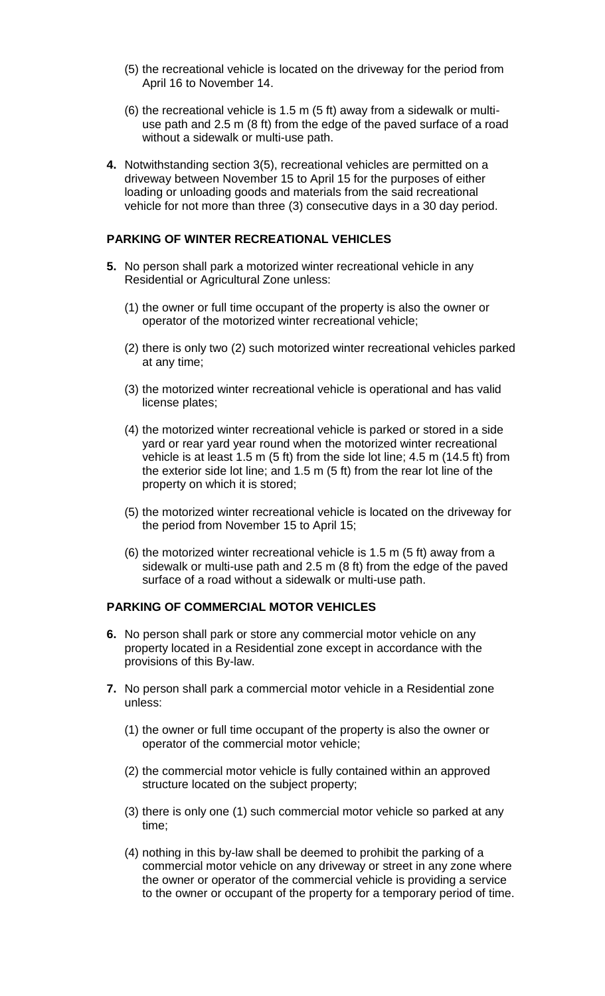- (5) the recreational vehicle is located on the driveway for the period from April 16 to November 14.
- use path and 2.5 m (8 ft) from the edge of the paved surface of a road (6) the recreational vehicle is 1.5 m (5 ft) away from a sidewalk or multiwithout a sidewalk or multi-use path.
- **4.** Notwithstanding section 3(5), recreational vehicles are permitted on a driveway between November 15 to April 15 for the purposes of either loading or unloading goods and materials from the said recreational vehicle for not more than three (3) consecutive days in a 30 day period.

## **PARKING OF WINTER RECREATIONAL VEHICLES**

- **5.** No person shall park a motorized winter recreational vehicle in any Residential or Agricultural Zone unless:
	- (1) the owner or full time occupant of the property is also the owner or operator of the motorized winter recreational vehicle;
	- (2) there is only two (2) such motorized winter recreational vehicles parked at any time;
	- (3) the motorized winter recreational vehicle is operational and has valid license plates;
	- vehicle is at least 1.5 m (5 ft) from the side lot line; 4.5 m (14.5 ft) from the exterior side lot line; and 1.5 m (5 ft) from the rear lot line of the (4) the motorized winter recreational vehicle is parked or stored in a side yard or rear yard year round when the motorized winter recreational property on which it is stored;
	- the period from November 15 to April 15; (5) the motorized winter recreational vehicle is located on the driveway for
	- sidewalk or multi-use path and 2.5 m (8 ft) from the edge of the paved (6) the motorized winter recreational vehicle is 1.5 m (5 ft) away from a surface of a road without a sidewalk or multi-use path.

#### **PARKING OF COMMERCIAL MOTOR VEHICLES**

- **6.** No person shall park or store any commercial motor vehicle on any property located in a Residential zone except in accordance with the provisions of this By-law.
- **7.** No person shall park a commercial motor vehicle in a Residential zone unless:
	- (1) the owner or full time occupant of the property is also the owner or operator of the commercial motor vehicle;
	- (2) the commercial motor vehicle is fully contained within an approved structure located on the subject property;
	- (3) there is only one (1) such commercial motor vehicle so parked at any time;
	- (4) nothing in this by-law shall be deemed to prohibit the parking of a commercial motor vehicle on any driveway or street in any zone where the owner or operator of the commercial vehicle is providing a service to the owner or occupant of the property for a temporary period of time.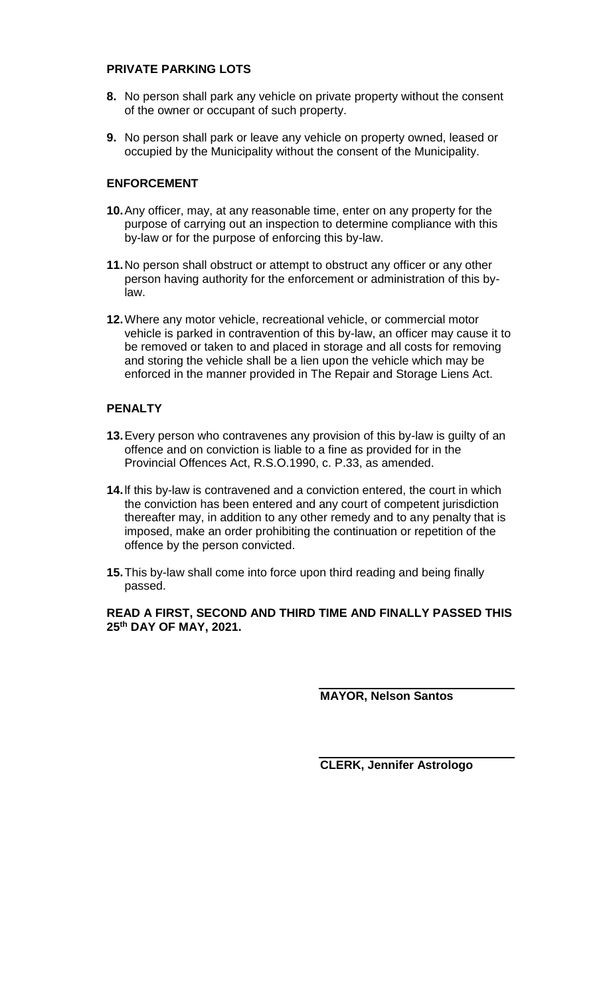## **PRIVATE PARKING LOTS**

- **8.** No person shall park any vehicle on private property without the consent of the owner or occupant of such property.
- **9.** No person shall park or leave any vehicle on property owned, leased or occupied by the Municipality without the consent of the Municipality.

## **ENFORCEMENT**

- **10.**Any officer, may, at any reasonable time, enter on any property for the by-law or for the purpose of enforcing this by-law. purpose of carrying out an inspection to determine compliance with this
- **11.**No person shall obstruct or attempt to obstruct any officer or any other person having authority for the enforcement or administration of this bylaw.
- **12.**Where any motor vehicle, recreational vehicle, or commercial motor vehicle is parked in contravention of this by-law, an officer may cause it to be removed or taken to and placed in storage and all costs for removing and storing the vehicle shall be a lien upon the vehicle which may be enforced in the manner provided in The Repair and Storage Liens Act.

## **PENALTY**

- **13.**Every person who contravenes any provision of this by-law is guilty of an offence and on conviction is liable to a fine as provided for in the Provincial Offences Act, R.S.O.1990, c. P.33, as amended.
- imposed, make an order prohibiting the continuation or repetition of the **14.**lf this by-law is contravened and a conviction entered, the court in which the conviction has been entered and any court of competent jurisdiction thereafter may, in addition to any other remedy and to any penalty that is offence by the person convicted.
- **15.**This by-law shall come into force upon third reading and being finally passed.

 **READ A FIRST, SECOND AND THIRD TIME AND FINALLY PASSED THIS 25th DAY OF MAY, 2021.** 

**MAYOR, Nelson Santos** 

**CLERK, Jennifer Astrologo**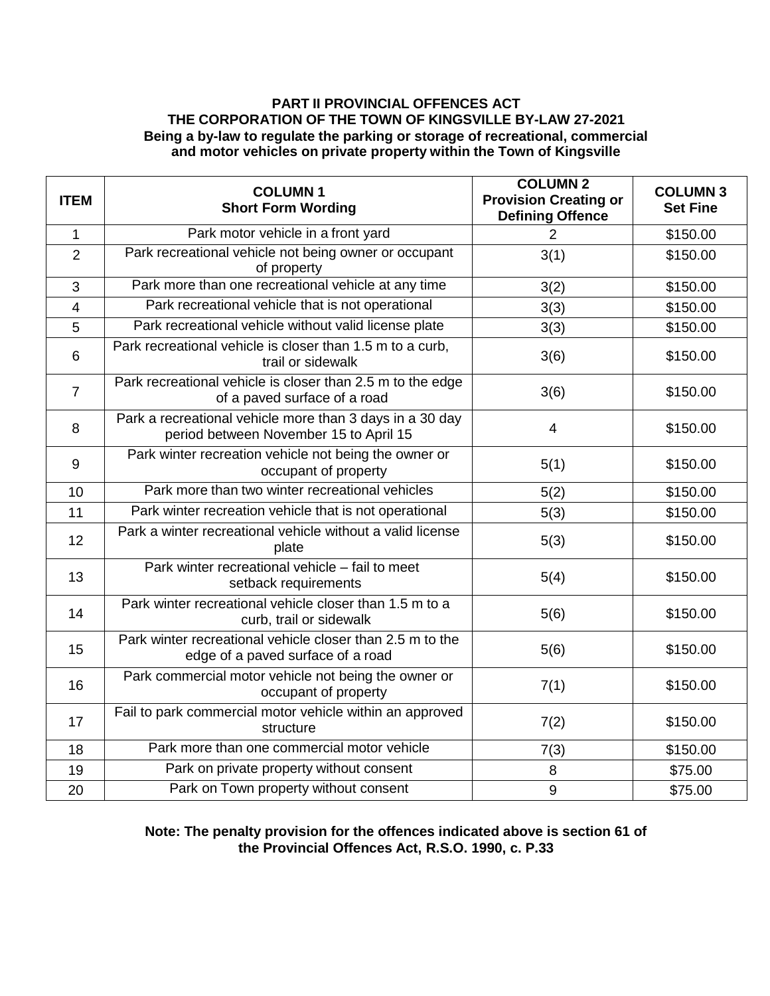#### **PART II PROVINCIAL OFFENCES ACT THE CORPORATION OF THE TOWN OF KINGSVILLE BY-LAW 27-2021 Being a by-law to regulate the parking or storage of recreational, commercial and motor vehicles on private property within the Town of Kingsville**

| <b>ITEM</b>    | <b>COLUMN1</b><br><b>Short Form Wording</b>                                                        | <b>COLUMN 2</b><br><b>Provision Creating or</b><br><b>Defining Offence</b> | <b>COLUMN 3</b><br><b>Set Fine</b> |
|----------------|----------------------------------------------------------------------------------------------------|----------------------------------------------------------------------------|------------------------------------|
| 1              | Park motor vehicle in a front yard                                                                 | $\overline{2}$                                                             | \$150.00                           |
| $\overline{2}$ | Park recreational vehicle not being owner or occupant<br>of property                               | 3(1)                                                                       | \$150.00                           |
| 3              | Park more than one recreational vehicle at any time                                                | 3(2)                                                                       | \$150.00                           |
| 4              | Park recreational vehicle that is not operational                                                  | 3(3)                                                                       | \$150.00                           |
| 5              | Park recreational vehicle without valid license plate                                              | 3(3)                                                                       | \$150.00                           |
| 6              | Park recreational vehicle is closer than 1.5 m to a curb,<br>trail or sidewalk                     | 3(6)                                                                       | \$150.00                           |
| $\overline{7}$ | Park recreational vehicle is closer than 2.5 m to the edge<br>of a paved surface of a road         | 3(6)                                                                       | \$150.00                           |
| 8              | Park a recreational vehicle more than 3 days in a 30 day<br>period between November 15 to April 15 | 4                                                                          | \$150.00                           |
| 9              | Park winter recreation vehicle not being the owner or<br>occupant of property                      | 5(1)                                                                       | \$150.00                           |
| 10             | Park more than two winter recreational vehicles                                                    | 5(2)                                                                       | \$150.00                           |
| 11             | Park winter recreation vehicle that is not operational                                             | 5(3)                                                                       | \$150.00                           |
| 12             | Park a winter recreational vehicle without a valid license<br>plate                                | 5(3)                                                                       | \$150.00                           |
| 13             | Park winter recreational vehicle - fail to meet<br>setback requirements                            | 5(4)                                                                       | \$150.00                           |
| 14             | Park winter recreational vehicle closer than 1.5 m to a<br>curb, trail or sidewalk                 | 5(6)                                                                       | \$150.00                           |
| 15             | Park winter recreational vehicle closer than 2.5 m to the<br>edge of a paved surface of a road     | 5(6)                                                                       | \$150.00                           |
| 16             | Park commercial motor vehicle not being the owner or<br>occupant of property                       | 7(1)                                                                       | \$150.00                           |
| 17             | Fail to park commercial motor vehicle within an approved<br>structure                              | 7(2)                                                                       | \$150.00                           |
| 18             | Park more than one commercial motor vehicle                                                        | 7(3)                                                                       | \$150.00                           |
| 19             | Park on private property without consent                                                           | 8                                                                          | \$75.00                            |
| 20             | Park on Town property without consent                                                              | $\boldsymbol{9}$                                                           | \$75.00                            |

 **Note: The penalty provision for the offences indicated above is section 61 of the Provincial Offences Act, R.S.O. 1990, c. P.33**